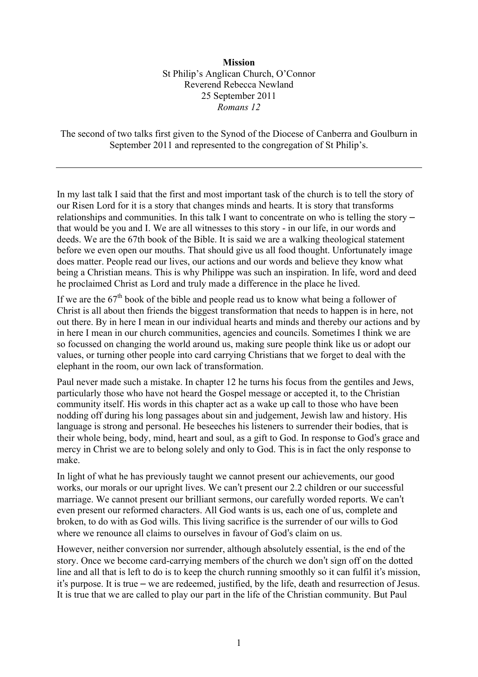## **Mission** St Philip's Anglican Church, O'Connor Reverend Rebecca Newland 25 September 2011 *Romans 12*

The second of two talks first given to the Synod of the Diocese of Canberra and Goulburn in September 2011 and represented to the congregation of St Philip's.

In my last talk I said that the first and most important task of the church is to tell the story of our Risen Lord for it is a story that changes minds and hearts. It is story that transforms relationships and communities. In this talk I want to concentrate on who is telling the story – that would be you and I. We are all witnesses to this story - in our life, in our words and deeds. We are the 67th book of the Bible. It is said we are a walking theological statement before we even open our mouths. That should give us all food thought. Unfortunately image does matter. People read our lives, our actions and our words and believe they know what being a Christian means. This is why Philippe was such an inspiration. In life, word and deed he proclaimed Christ as Lord and truly made a difference in the place he lived.

If we are the  $67<sup>th</sup>$  book of the bible and people read us to know what being a follower of Christ is all about then friends the biggest transformation that needs to happen is in here, not out there. By in here I mean in our individual hearts and minds and thereby our actions and by in here I mean in our church communities, agencies and councils. Sometimes I think we are so focussed on changing the world around us, making sure people think like us or adopt our values, or turning other people into card carrying Christians that we forget to deal with the elephant in the room, our own lack of transformation.

Paul never made such a mistake. In chapter 12 he turns his focus from the gentiles and Jews, particularly those who have not heard the Gospel message or accepted it, to the Christian community itself. His words in this chapter act as a wake up call to those who have been nodding off during his long passages about sin and judgement, Jewish law and history. His language is strong and personal. He beseeches his listeners to surrender their bodies, that is their whole being, body, mind, heart and soul, as a gift to God. In response to God's grace and mercy in Christ we are to belong solely and only to God. This is in fact the only response to make.

In light of what he has previously taught we cannot present our achievements, our good works, our morals or our upright lives. We can't present our 2.2 children or our successful marriage. We cannot present our brilliant sermons, our carefully worded reports. We can't even present our reformed characters. All God wants is us, each one of us, complete and broken, to do with as God wills. This living sacrifice is the surrender of our wills to God where we renounce all claims to ourselves in favour of God's claim on us.

However, neither conversion nor surrender, although absolutely essential, is the end of the story. Once we become card-carrying members of the church we don't sign off on the dotted line and all that is left to do is to keep the church running smoothly so it can fulfil it's mission, it's purpose. It is true – we are redeemed, justified, by the life, death and resurrection of Jesus. It is true that we are called to play our part in the life of the Christian community. But Paul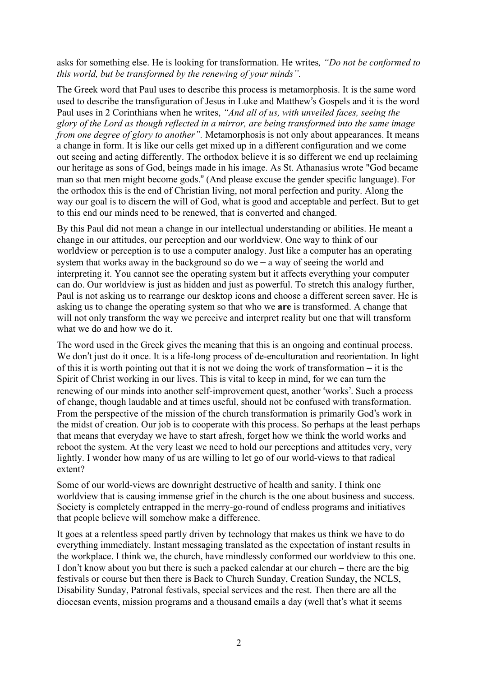asks for something else. He is looking for transformation. He writes*, "Do not be conformed to this world, but be transformed by the renewing of your minds".*

The Greek word that Paul uses to describe this process is metamorphosis. It is the same word used to describe the transfiguration of Jesus in Luke and Matthew's Gospels and it is the word Paul uses in 2 Corinthians when he writes, *"And all of us, with unveiled faces, seeing the glory of the Lord as though reflected in a mirror, are being transformed into the same image from one degree of glory to another*". Metamorphosis is not only about appearances. It means a change in form. It is like our cells get mixed up in a different configuration and we come out seeing and acting differently. The orthodox believe it is so different we end up reclaiming our heritage as sons of God, beings made in his image. As St. Athanasius wrote "God became man so that men might become gods." (And please excuse the gender specific language). For the orthodox this is the end of Christian living, not moral perfection and purity. Along the way our goal is to discern the will of God, what is good and acceptable and perfect. But to get to this end our minds need to be renewed, that is converted and changed.

By this Paul did not mean a change in our intellectual understanding or abilities. He meant a change in our attitudes, our perception and our worldview. One way to think of our worldview or perception is to use a computer analogy. Just like a computer has an operating system that works away in the background so do we  $-$  a way of seeing the world and interpreting it. You cannot see the operating system but it affects everything your computer can do. Our worldview is just as hidden and just as powerful. To stretch this analogy further, Paul is not asking us to rearrange our desktop icons and choose a different screen saver. He is asking us to change the operating system so that who we **are** is transformed. A change that will not only transform the way we perceive and interpret reality but one that will transform what we do and how we do it.

The word used in the Greek gives the meaning that this is an ongoing and continual process. We don't just do it once. It is a life-long process of de-enculturation and reorientation. In light of this it is worth pointing out that it is not we doing the work of transformation  $-$  it is the Spirit of Christ working in our lives. This is vital to keep in mind, for we can turn the renewing of our minds into another self-improvement quest, another ʻworks'. Such a process of change, though laudable and at times useful, should not be confused with transformation. From the perspective of the mission of the church transformation is primarily God's work in the midst of creation. Our job is to cooperate with this process. So perhaps at the least perhaps that means that everyday we have to start afresh, forget how we think the world works and reboot the system. At the very least we need to hold our perceptions and attitudes very, very lightly. I wonder how many of us are willing to let go of our world-views to that radical extent?

Some of our world-views are downright destructive of health and sanity. I think one worldview that is causing immense grief in the church is the one about business and success. Society is completely entrapped in the merry-go-round of endless programs and initiatives that people believe will somehow make a difference.

It goes at a relentless speed partly driven by technology that makes us think we have to do everything immediately. Instant messaging translated as the expectation of instant results in the workplace. I think we, the church, have mindlessly conformed our worldview to this one. I don't know about you but there is such a packed calendar at our church – there are the big festivals or course but then there is Back to Church Sunday, Creation Sunday, the NCLS, Disability Sunday, Patronal festivals, special services and the rest. Then there are all the diocesan events, mission programs and a thousand emails a day (well that's what it seems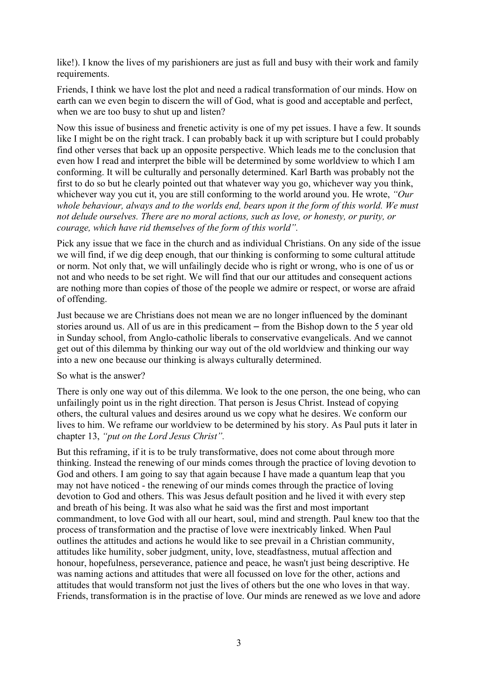like!). I know the lives of my parishioners are just as full and busy with their work and family requirements.

Friends, I think we have lost the plot and need a radical transformation of our minds. How on earth can we even begin to discern the will of God, what is good and acceptable and perfect, when we are too busy to shut up and listen?

Now this issue of business and frenetic activity is one of my pet issues. I have a few. It sounds like I might be on the right track. I can probably back it up with scripture but I could probably find other verses that back up an opposite perspective. Which leads me to the conclusion that even how I read and interpret the bible will be determined by some worldview to which I am conforming. It will be culturally and personally determined. Karl Barth was probably not the first to do so but he clearly pointed out that whatever way you go, whichever way you think, whichever way you cut it, you are still conforming to the world around you. He wrote, *"Our whole behaviour, always and to the worlds end, bears upon it the form of this world. We must not delude ourselves. There are no moral actions, such as love, or honesty, or purity, or courage, which have rid themselves of the form of this world".*

Pick any issue that we face in the church and as individual Christians. On any side of the issue we will find, if we dig deep enough, that our thinking is conforming to some cultural attitude or norm. Not only that, we will unfailingly decide who is right or wrong, who is one of us or not and who needs to be set right. We will find that our our attitudes and consequent actions are nothing more than copies of those of the people we admire or respect, or worse are afraid of offending.

Just because we are Christians does not mean we are no longer influenced by the dominant stories around us. All of us are in this predicament – from the Bishop down to the 5 year old in Sunday school, from Anglo-catholic liberals to conservative evangelicals. And we cannot get out of this dilemma by thinking our way out of the old worldview and thinking our way into a new one because our thinking is always culturally determined.

So what is the answer?

There is only one way out of this dilemma. We look to the one person, the one being, who can unfailingly point us in the right direction. That person is Jesus Christ. Instead of copying others, the cultural values and desires around us we copy what he desires. We conform our lives to him. We reframe our worldview to be determined by his story. As Paul puts it later in chapter 13, *"put on the Lord Jesus Christ".*

But this reframing, if it is to be truly transformative, does not come about through more thinking. Instead the renewing of our minds comes through the practice of loving devotion to God and others. I am going to say that again because I have made a quantum leap that you may not have noticed - the renewing of our minds comes through the practice of loving devotion to God and others. This was Jesus default position and he lived it with every step and breath of his being. It was also what he said was the first and most important commandment, to love God with all our heart, soul, mind and strength. Paul knew too that the process of transformation and the practise of love were inextricably linked. When Paul outlines the attitudes and actions he would like to see prevail in a Christian community, attitudes like humility, sober judgment, unity, love, steadfastness, mutual affection and honour, hopefulness, perseverance, patience and peace, he wasn't just being descriptive. He was naming actions and attitudes that were all focussed on love for the other, actions and attitudes that would transform not just the lives of others but the one who loves in that way. Friends, transformation is in the practise of love. Our minds are renewed as we love and adore